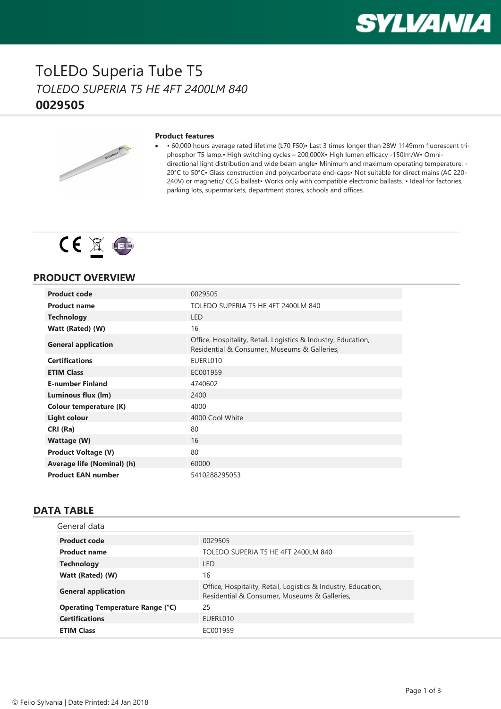

### ToLEDo Superia Tube T5 *TOLEDO SUPERIA T5 HE 4FT 2400LM 840* **0029505**



#### **Product features**

· • 60,000 hours average rated lifetime (L70 F50)• Last 3 times longer than 28W 1149mm fluorescent triphosphor T5 lamp.• High switching cycles – 200,000X• High lumen efficacy -150lm/W• Omnidirectional light distribution and wide beam angle• Minimum and maximum operating temperature: - 20°C to 50°C• Glass construction and polycarbonate end-caps• Not suitable for direct mains (AC 220- 240V) or magnetic/ CCG ballast• Works only with compatible electronic ballasts. • Ideal for factories, parking lots, supermarkets, department stores, schools and offices.



### **PRODUCT OVERVIEW**

| <b>Product code</b>        | 0029505                                                                                                       |
|----------------------------|---------------------------------------------------------------------------------------------------------------|
| <b>Product name</b>        | TOLEDO SUPERIA T5 HE 4FT 2400LM 840                                                                           |
| <b>Technology</b>          | <b>LED</b>                                                                                                    |
| Watt (Rated) (W)           | 16                                                                                                            |
| <b>General application</b> | Office, Hospitality, Retail, Logistics & Industry, Education,<br>Residential & Consumer, Museums & Galleries, |
| <b>Certifications</b>      | EUERL010                                                                                                      |
| <b>ETIM Class</b>          | EC001959                                                                                                      |
| <b>E-number Finland</b>    | 4740602                                                                                                       |
| Luminous flux (lm)         | 2400                                                                                                          |
| Colour temperature (K)     | 4000                                                                                                          |
| Light colour               | 4000 Cool White                                                                                               |
| CRI (Ra)                   | 80                                                                                                            |
| Wattage (W)                | 16                                                                                                            |
| <b>Product Voltage (V)</b> | 80                                                                                                            |
| Average life (Nominal) (h) | 60000                                                                                                         |
| <b>Product EAN number</b>  | 5410288295053                                                                                                 |

#### **DATA TABLE**

| General data                            |                                                                                                               |
|-----------------------------------------|---------------------------------------------------------------------------------------------------------------|
| <b>Product code</b>                     | 0029505                                                                                                       |
| <b>Product name</b>                     | TOLEDO SUPERIA T5 HE 4FT 2400LM 840                                                                           |
| <b>Technology</b>                       | I FD                                                                                                          |
| Watt (Rated) (W)                        | 16                                                                                                            |
| <b>General application</b>              | Office, Hospitality, Retail, Logistics & Industry, Education,<br>Residential & Consumer, Museums & Galleries, |
| <b>Operating Temperature Range (°C)</b> | 25                                                                                                            |
| <b>Certifications</b>                   | EUERL010                                                                                                      |
| <b>ETIM Class</b>                       | EC001959                                                                                                      |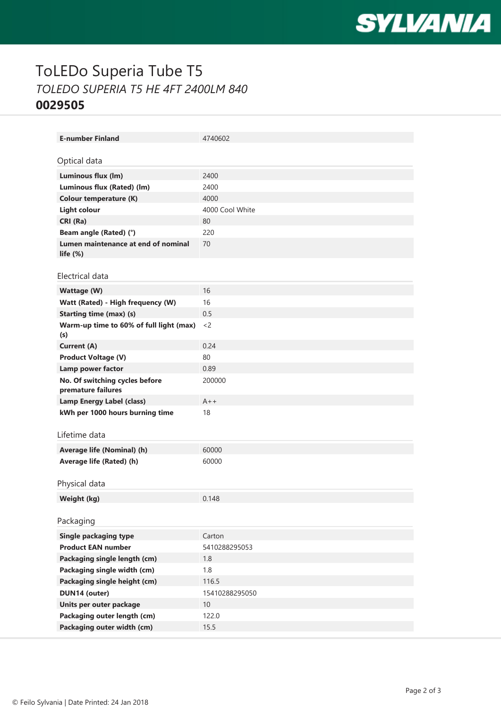

# ToLEDo Superia Tube T5 *TOLEDO SUPERIA T5 HE 4FT 2400LM 840* **0029505**

| <b>E-number Finland</b>                            | 4740602         |
|----------------------------------------------------|-----------------|
|                                                    |                 |
| Optical data                                       |                 |
| Luminous flux (lm)                                 | 2400            |
| Luminous flux (Rated) (lm)                         | 2400            |
| <b>Colour temperature (K)</b>                      | 4000            |
| <b>Light colour</b>                                | 4000 Cool White |
| CRI (Ra)                                           | 80              |
| Beam angle (Rated) (°)                             | 220             |
| Lumen maintenance at end of nominal<br>life $(\%)$ | 70              |
|                                                    |                 |
| Electrical data                                    |                 |
| Wattage (W)                                        | 16              |
| Watt (Rated) - High frequency (W)                  | 16              |
| <b>Starting time (max) (s)</b>                     | 0.5             |
| Warm-up time to 60% of full light (max)            | $<$ 2           |
| (s)<br>Current (A)                                 | 0.24            |
| <b>Product Voltage (V)</b>                         | 80              |
| Lamp power factor                                  | 0.89            |
| No. Of switching cycles before                     | 200000          |
| premature failures                                 |                 |
| <b>Lamp Energy Label (class)</b>                   | $A++$           |
| kWh per 1000 hours burning time                    | 18              |
|                                                    |                 |
| Lifetime data                                      |                 |
| Average life (Nominal) (h)                         | 60000           |
| Average life (Rated) (h)                           | 60000           |
|                                                    |                 |
| Physical data                                      |                 |
| Weight (kg)                                        | 0.148           |
|                                                    |                 |
| Packaging                                          |                 |
| <b>Single packaging type</b>                       | Carton          |
| <b>Product EAN number</b>                          | 5410288295053   |
| Packaging single length (cm)                       | 1.8             |
| Packaging single width (cm)                        | 1.8             |
| Packaging single height (cm)                       | 116.5           |
| DUN14 (outer)                                      | 15410288295050  |
| Units per outer package                            | 10              |
| Packaging outer length (cm)                        | 122.0           |
| Packaging outer width (cm)                         | 15.5            |